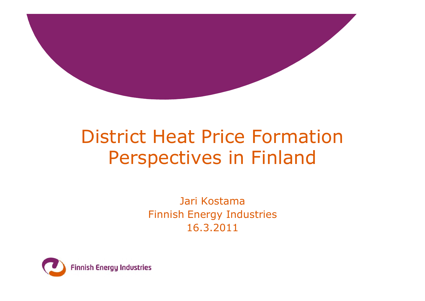

# District Heat Price Formation Perspectives in Finland

Jari Kostama Finnish Energy Industries 16.3.2011

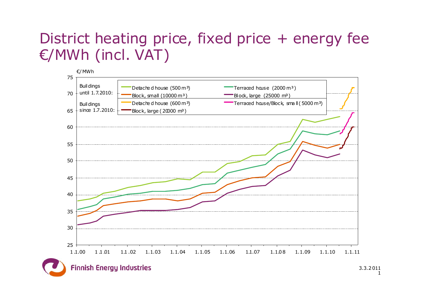# €/MWh (incl. VAT)



14.3.2011 3.3.2 011  $\mathbf{1}$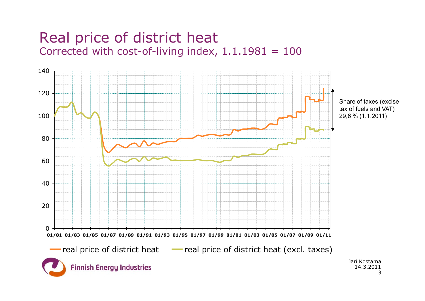#### Real price of district heat Corrected with cost-of-living index,  $1.1.1981 = 100$

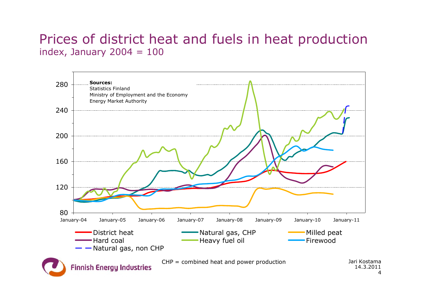#### Prices of district heat and fuels in heat production index, January  $2004 = 100$

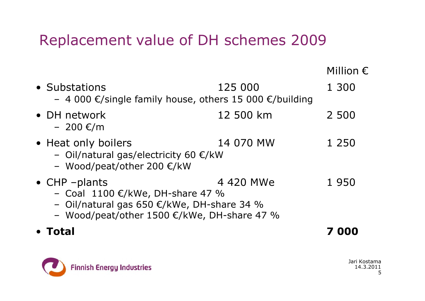#### Replacement value of DH schemes 2009

|                                                                                                                                                        |           | Million $\epsilon$ |
|--------------------------------------------------------------------------------------------------------------------------------------------------------|-----------|--------------------|
| • Substations<br>- 4 000 €/single family house, others 15 000 €/building                                                                               | 125 000   | 1 300              |
| • DH network<br>$-200 \text{€/m}$                                                                                                                      | 12 500 km | 2 500              |
| • Heat only boilers<br>- Oil/natural gas/electricity 60 $\epsilon$ /kW<br>- Wood/peat/other 200 €/kW                                                   | 14 070 MW | 1 250              |
| $\bullet$ CHP -plants<br>- Coal 1100 €/kWe, DH-share 47 %<br>- Oil/natural gas 650 €/kWe, DH-share 34 %<br>- Wood/peat/other 1500 €/kWe, DH-share 47 % | 4 420 MWe | 1950               |
| Total                                                                                                                                                  |           | 000                |

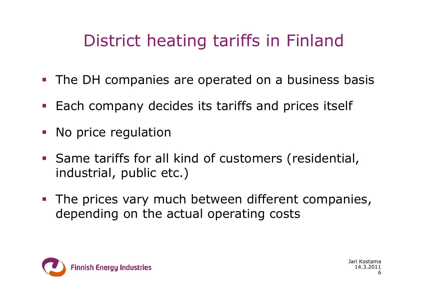# District heating tariffs in Finland

- The DH companies are operated on a business basis
- Each company decides its tariffs and prices itself
- No price regulation
- Same tariffs for all kind of customers (residential, industrial, public etc.)
- **The prices vary much between different companies,** depending on the actual operating costs

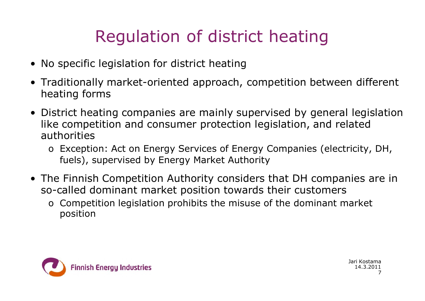# Regulation of district heating

- No specific legislation for district heating
- Traditionally market-oriented approach, competition between different heating forms
- District heating companies are mainly supervised by general legislation like competition and consumer protection legislation, and related authorities
	- o Exception: Act on Energy Services of Energy Companies (electricity, DH, fuels), supervised by Energy Market Authority
- The Finnish Competition Authority considers that DH companies are in so-called dominant market position towards their customers
	- o Competition legislation prohibits the misuse of the dominant market position

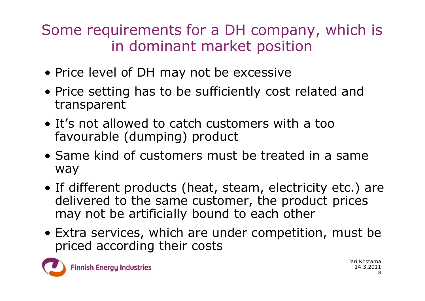Some requirements for a DH company, which is in dominant market position

- Price level of DH may not be excessive
- Price setting has to be sufficiently cost related and transparent
- It's not allowed to catch customers with a too favourable (dumping) product
- Same kind of customers must be treated in a same way
- If different products (heat, steam, electricity etc.) are delivered to the same customer, the product prices may not be artificially bound to each other
- Extra services, which are under competition, must be priced according their costs

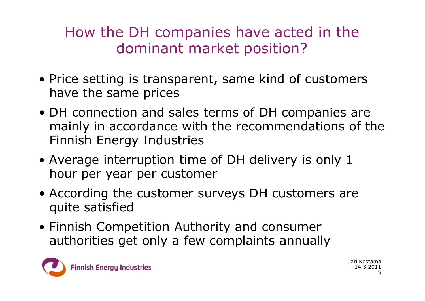## How the DH companies have acted in the dominant market position?

- Price setting is transparent, same kind of customers have the same prices
- DH connection and sales terms of DH companies are mainly in accordance with the recommendations of the Finnish Energy Industries
- Average interruption time of DH delivery is only 1 hour per year per customer
- According the customer surveys DH customers are quite satisfied
- Finnish Competition Authority and consumer authorities get only a few complaints annually

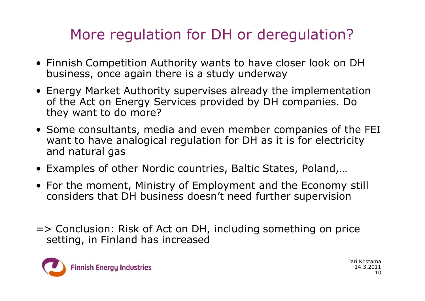## More regulation for DH or deregulation?

- Finnish Competition Authority wants to have closer look on DH business, once again there is a study underway
- Energy Market Authority supervises already the implementation of the Act on Energy Services provided by DH companies. Do they want to do more?
- Some consultants, media and even member companies of the FEI want to have analogical regulation for DH as it is for electricity and natural gas
- Examples of other Nordic countries, Baltic States, Poland,…
- For the moment, Ministry of Employment and the Economy still considers that DH business doesn't need further supervision
- => Conclusion: Risk of Act on DH, including something on price setting, in Finland has increased